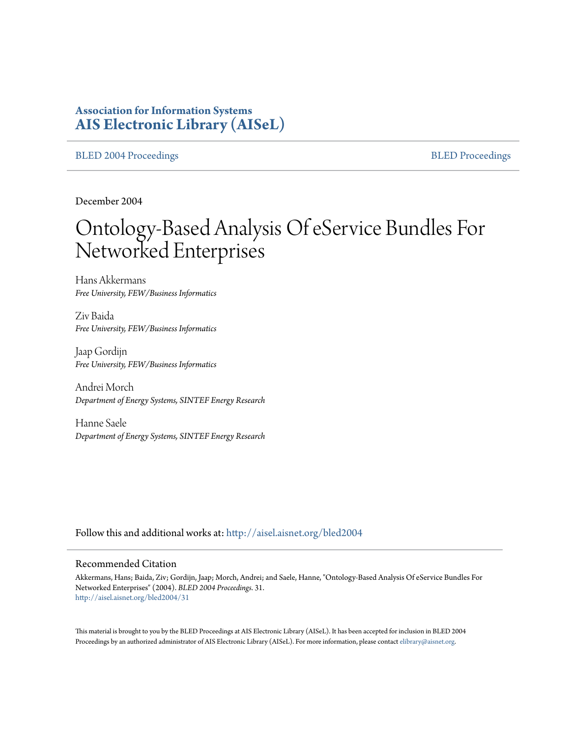# **Association for Information Systems [AIS Electronic Library \(AISeL\)](http://aisel.aisnet.org?utm_source=aisel.aisnet.org%2Fbled2004%2F31&utm_medium=PDF&utm_campaign=PDFCoverPages)**

[BLED 2004 Proceedings](http://aisel.aisnet.org/bled2004?utm_source=aisel.aisnet.org%2Fbled2004%2F31&utm_medium=PDF&utm_campaign=PDFCoverPages) and the state of the state of the [BLED Proceedings](http://aisel.aisnet.org/bled?utm_source=aisel.aisnet.org%2Fbled2004%2F31&utm_medium=PDF&utm_campaign=PDFCoverPages) and the BLED Proceedings and the BLED Proceedings and the BLED Proceedings and the BLED Proceedings and the BLED Proceedings and the BLED Proceedings

December 2004

# Ontology-Based Analysis Of eService Bundles For Networked Enterprises

Hans Akkermans *Free University, FEW/Business Informatics*

Ziv Baida *Free University, FEW/Business Informatics*

Jaap Gordijn *Free University, FEW/Business Informatics*

Andrei Morch *Department of Energy Systems, SINTEF Energy Research*

Hanne Saele *Department of Energy Systems, SINTEF Energy Research*

Follow this and additional works at: [http://aisel.aisnet.org/bled2004](http://aisel.aisnet.org/bled2004?utm_source=aisel.aisnet.org%2Fbled2004%2F31&utm_medium=PDF&utm_campaign=PDFCoverPages)

#### Recommended Citation

Akkermans, Hans; Baida, Ziv; Gordijn, Jaap; Morch, Andrei; and Saele, Hanne, "Ontology-Based Analysis Of eService Bundles For Networked Enterprises" (2004). *BLED 2004 Proceedings*. 31. [http://aisel.aisnet.org/bled2004/31](http://aisel.aisnet.org/bled2004/31?utm_source=aisel.aisnet.org%2Fbled2004%2F31&utm_medium=PDF&utm_campaign=PDFCoverPages)

This material is brought to you by the BLED Proceedings at AIS Electronic Library (AISeL). It has been accepted for inclusion in BLED 2004 Proceedings by an authorized administrator of AIS Electronic Library (AISeL). For more information, please contact [elibrary@aisnet.org](mailto:elibrary@aisnet.org%3E).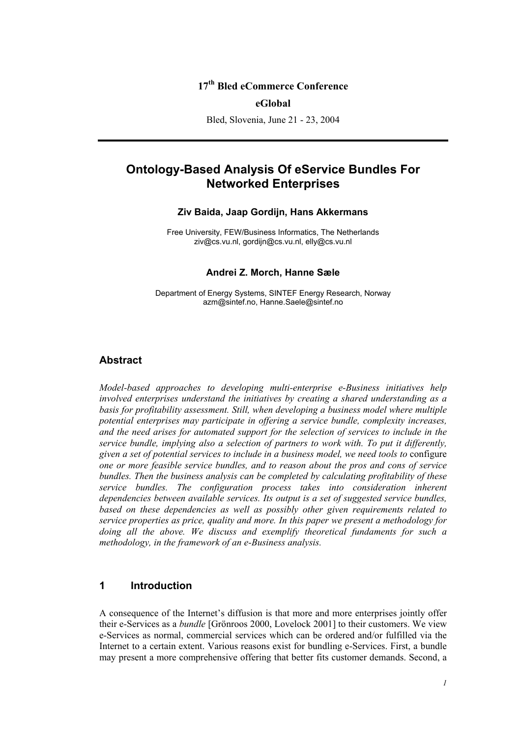## **17th Bled eCommerce Conference**

#### **eGlobal**

Bled, Slovenia, June 21 - 23, 2004

# **Ontology-Based Analysis Of eService Bundles For Networked Enterprises**

#### **Ziv Baida, Jaap Gordijn, Hans Akkermans**

Free University, FEW/Business Informatics, The Netherlands ziv@cs.vu.nl, gordijn@cs.vu.nl, elly@cs.vu.nl

#### **Andrei Z. Morch, Hanne Sæle**

Department of Energy Systems, SINTEF Energy Research, Norway azm@sintef.no, Hanne.Saele@sintef.no

## **Abstract**

*Model-based approaches to developing multi-enterprise e-Business initiatives help involved enterprises understand the initiatives by creating a shared understanding as a*  basis for profitability assessment. Still, when developing a business model where multiple *potential enterprises may participate in offering a service bundle, complexity increases, and the need arises for automated support for the selection of services to include in the service bundle, implying also a selection of partners to work with. To put it differently, given a set of potential services to include in a business model, we need tools to* configure *one or more feasible service bundles, and to reason about the pros and cons of service bundles. Then the business analysis can be completed by calculating profitability of these service bundles. The configuration process takes into consideration inherent dependencies between available services. Its output is a set of suggested service bundles, based on these dependencies as well as possibly other given requirements related to service properties as price, quality and more. In this paper we present a methodology for doing all the above. We discuss and exemplify theoretical fundaments for such a methodology, in the framework of an e-Business analysis.* 

## **1 Introduction**

A consequence of the Internet's diffusion is that more and more enterprises jointly offer their e-Services as a *bundle* [Grönroos 2000, Lovelock 2001] to their customers. We view e-Services as normal, commercial services which can be ordered and/or fulfilled via the Internet to a certain extent. Various reasons exist for bundling e-Services. First, a bundle may present a more comprehensive offering that better fits customer demands. Second, a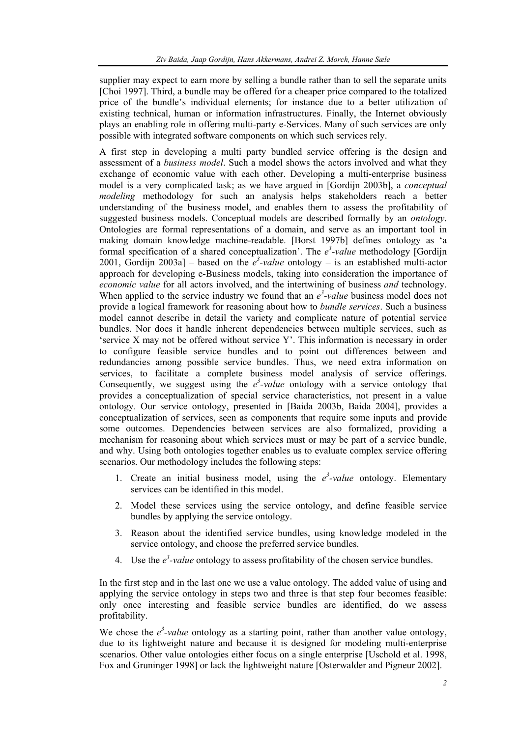supplier may expect to earn more by selling a bundle rather than to sell the separate units [Choi 1997]. Third, a bundle may be offered for a cheaper price compared to the totalized price of the bundle's individual elements; for instance due to a better utilization of existing technical, human or information infrastructures. Finally, the Internet obviously plays an enabling role in offering multi-party e-Services. Many of such services are only possible with integrated software components on which such services rely.

A first step in developing a multi party bundled service offering is the design and assessment of a *business model*. Such a model shows the actors involved and what they exchange of economic value with each other. Developing a multi-enterprise business model is a very complicated task; as we have argued in [Gordijn 2003b], a *conceptual modeling* methodology for such an analysis helps stakeholders reach a better understanding of the business model, and enables them to assess the profitability of suggested business models. Conceptual models are described formally by an *ontology*. Ontologies are formal representations of a domain, and serve as an important tool in making domain knowledge machine-readable. [Borst 1997b] defines ontology as 'a formal specification of a shared conceptualization'. The  $e^3$ -value methodology [Gordijn 2001, Gordijn 2003a] – based on the  $e^3$ -value ontology – is an established multi-actor approach for developing e-Business models, taking into consideration the importance of *economic value* for all actors involved, and the intertwining of business *and* technology. When applied to the service industry we found that an  $e^3$ -value business model does not provide a logical framework for reasoning about how to *bundle services*. Such a business model cannot describe in detail the variety and complicate nature of potential service bundles. Nor does it handle inherent dependencies between multiple services, such as 'service X may not be offered without service Y'. This information is necessary in order to configure feasible service bundles and to point out differences between and redundancies among possible service bundles. Thus, we need extra information on services, to facilitate a complete business model analysis of service offerings. Consequently, we suggest using the  $e^3$ -value ontology with a service ontology that provides a conceptualization of special service characteristics, not present in a value ontology. Our service ontology, presented in [Baida 2003b, Baida 2004], provides a conceptualization of services, seen as components that require some inputs and provide some outcomes. Dependencies between services are also formalized, providing a mechanism for reasoning about which services must or may be part of a service bundle, and why. Using both ontologies together enables us to evaluate complex service offering scenarios. Our methodology includes the following steps:

- 1. Create an initial business model, using the  $e^3$ -value ontology. Elementary services can be identified in this model.
- 2. Model these services using the service ontology, and define feasible service bundles by applying the service ontology.
- 3. Reason about the identified service bundles, using knowledge modeled in the service ontology, and choose the preferred service bundles.
- 4. Use the  $e^3$ -value ontology to assess profitability of the chosen service bundles.

In the first step and in the last one we use a value ontology. The added value of using and applying the service ontology in steps two and three is that step four becomes feasible: only once interesting and feasible service bundles are identified, do we assess profitability.

We chose the  $e^3$ -value ontology as a starting point, rather than another value ontology, due to its lightweight nature and because it is designed for modeling multi-enterprise scenarios. Other value ontologies either focus on a single enterprise [Uschold et al. 1998, Fox and Gruninger 1998] or lack the lightweight nature [Osterwalder and Pigneur 2002].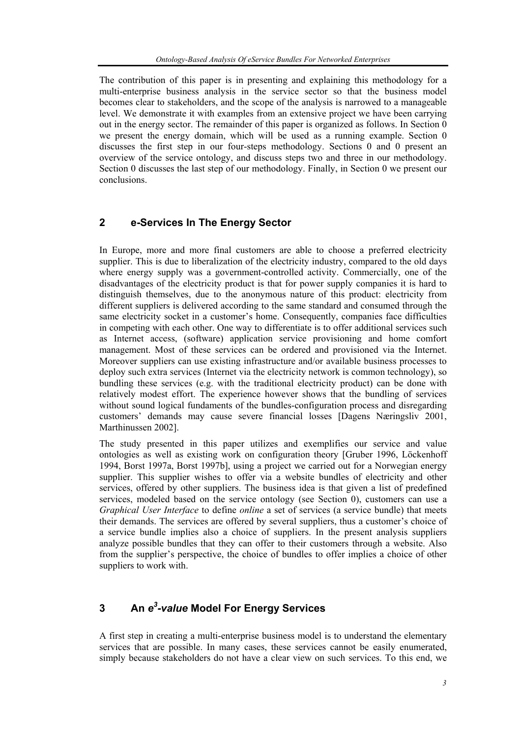The contribution of this paper is in presenting and explaining this methodology for a multi-enterprise business analysis in the service sector so that the business model becomes clear to stakeholders, and the scope of the analysis is narrowed to a manageable level. We demonstrate it with examples from an extensive project we have been carrying out in the energy sector. The remainder of this paper is organized as follows. In Section 0 we present the energy domain, which will be used as a running example. Section 0 discusses the first step in our four-steps methodology. Sections 0 and 0 present an overview of the service ontology, and discuss steps two and three in our methodology. Section 0 discusses the last step of our methodology. Finally, in Section 0 we present our conclusions.

## **2 e-Services In The Energy Sector**

In Europe, more and more final customers are able to choose a preferred electricity supplier. This is due to liberalization of the electricity industry, compared to the old days where energy supply was a government-controlled activity. Commercially, one of the disadvantages of the electricity product is that for power supply companies it is hard to distinguish themselves, due to the anonymous nature of this product: electricity from different suppliers is delivered according to the same standard and consumed through the same electricity socket in a customer's home. Consequently, companies face difficulties in competing with each other. One way to differentiate is to offer additional services such as Internet access, (software) application service provisioning and home comfort management. Most of these services can be ordered and provisioned via the Internet. Moreover suppliers can use existing infrastructure and/or available business processes to deploy such extra services (Internet via the electricity network is common technology), so bundling these services (e.g. with the traditional electricity product) can be done with relatively modest effort. The experience however shows that the bundling of services without sound logical fundaments of the bundles-configuration process and disregarding customers' demands may cause severe financial losses [Dagens Næringsliv 2001, Marthinussen 2002].

The study presented in this paper utilizes and exemplifies our service and value ontologies as well as existing work on configuration theory [Gruber 1996, Löckenhoff 1994, Borst 1997a, Borst 1997b], using a project we carried out for a Norwegian energy supplier. This supplier wishes to offer via a website bundles of electricity and other services, offered by other suppliers. The business idea is that given a list of predefined services, modeled based on the service ontology (see Section 0), customers can use a *Graphical User Interface* to define *online* a set of services (a service bundle) that meets their demands. The services are offered by several suppliers, thus a customer's choice of a service bundle implies also a choice of suppliers. In the present analysis suppliers analyze possible bundles that they can offer to their customers through a website. Also from the supplier's perspective, the choice of bundles to offer implies a choice of other suppliers to work with.

# **3 An** *e3 -value* **Model For Energy Services**

A first step in creating a multi-enterprise business model is to understand the elementary services that are possible. In many cases, these services cannot be easily enumerated, simply because stakeholders do not have a clear view on such services. To this end, we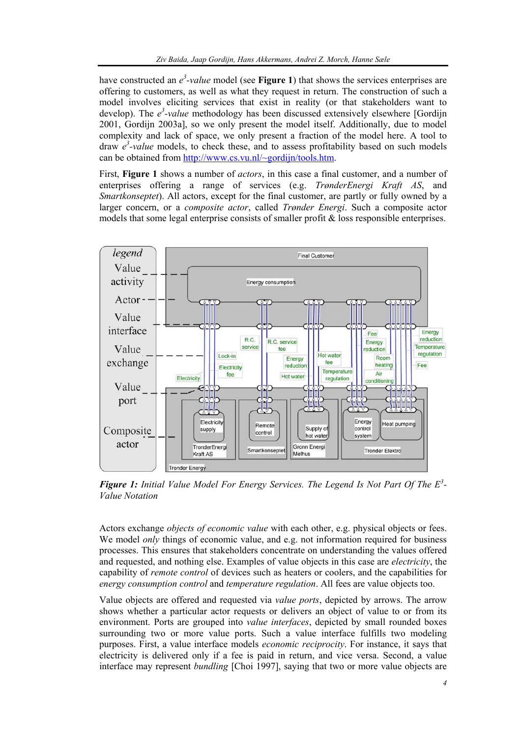have constructed an  $e^3$ -value model (see **Figure 1**) that shows the services enterprises are offering to customers, as well as what they request in return. The construction of such a model involves eliciting services that exist in reality (or that stakeholders want to develop). The  $e^3$ -value methodology has been discussed extensively elsewhere [Gordijn 2001, Gordijn 2003a], so we only present the model itself. Additionally, due to model complexity and lack of space, we only present a fraction of the model here. A tool to draw  $e^3$ -value models, to check these, and to assess profitability based on such models can be obtained from http://www.cs.vu.nl/~gordijn/tools.htm.

First, **Figure 1** shows a number of *actors*, in this case a final customer, and a number of enterprises offering a range of services (e.g. *TrønderEnergi Kraft AS*, and *Smartkonseptet*). All actors, except for the final customer, are partly or fully owned by a larger concern, or a *composite actor*, called *Trønder Energi*. Such a composite actor models that some legal enterprise consists of smaller profit & loss responsible enterprises.



*Figure 1: Initial Value Model For Energy Services. The Legend Is Not Part Of The E<sup>3</sup> - Value Notation* 

Actors exchange *objects of economic value* with each other, e.g. physical objects or fees. We model *only* things of economic value, and e.g. not information required for business processes. This ensures that stakeholders concentrate on understanding the values offered and requested, and nothing else. Examples of value objects in this case are *electricity*, the capability of *remote control* of devices such as heaters or coolers, and the capabilities for *energy consumption control* and *temperature regulation*. All fees are value objects too.

Value objects are offered and requested via *value ports*, depicted by arrows. The arrow shows whether a particular actor requests or delivers an object of value to or from its environment. Ports are grouped into *value interfaces*, depicted by small rounded boxes surrounding two or more value ports. Such a value interface fulfills two modeling purposes. First, a value interface models *economic reciprocity*. For instance, it says that electricity is delivered only if a fee is paid in return, and vice versa. Second, a value interface may represent *bundling* [Choi 1997], saying that two or more value objects are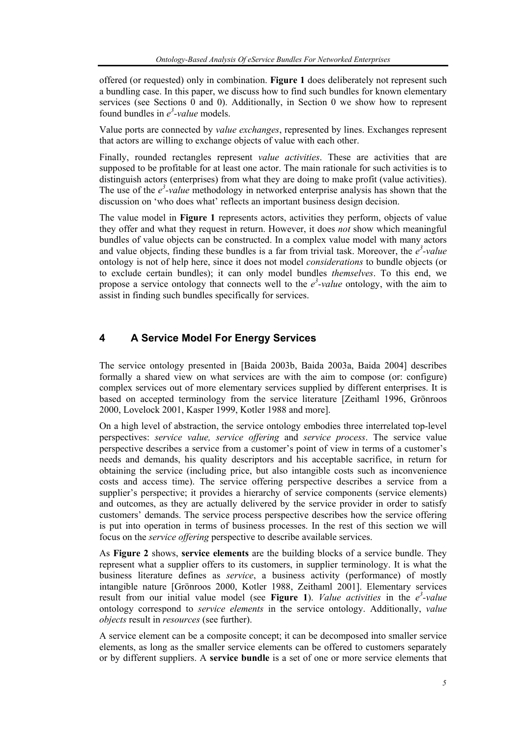offered (or requested) only in combination. **Figure 1** does deliberately not represent such a bundling case. In this paper, we discuss how to find such bundles for known elementary services (see Sections  $\hat{0}$  and  $\hat{0}$ ). Additionally, in Section  $\hat{0}$  we show how to represent found bundles in  $e^3$ -value models.

Value ports are connected by *value exchanges*, represented by lines. Exchanges represent that actors are willing to exchange objects of value with each other.

Finally, rounded rectangles represent *value activities*. These are activities that are supposed to be profitable for at least one actor. The main rationale for such activities is to distinguish actors (enterprises) from what they are doing to make profit (value activities). The use of the  $e^3$ -value methodology in networked enterprise analysis has shown that the discussion on 'who does what' reflects an important business design decision.

The value model in **Figure 1** represents actors, activities they perform, objects of value they offer and what they request in return. However, it does *not* show which meaningful bundles of value objects can be constructed. In a complex value model with many actors and value objects, finding these bundles is a far from trivial task. Moreover, the  $e^3$ -value ontology is not of help here, since it does not model *considerations* to bundle objects (or to exclude certain bundles); it can only model bundles *themselves*. To this end, we propose a service ontology that connects well to the  $e^3$ -value ontology, with the aim to assist in finding such bundles specifically for services.

## **4 A Service Model For Energy Services**

The service ontology presented in [Baida 2003b, Baida 2003a, Baida 2004] describes formally a shared view on what services are with the aim to compose (or: configure) complex services out of more elementary services supplied by different enterprises. It is based on accepted terminology from the service literature [Zeithaml 1996, Grönroos 2000, Lovelock 2001, Kasper 1999, Kotler 1988 and more].

On a high level of abstraction, the service ontology embodies three interrelated top-level perspectives: *service value, service offering* and *service process*. The service value perspective describes a service from a customer's point of view in terms of a customer's needs and demands, his quality descriptors and his acceptable sacrifice, in return for obtaining the service (including price, but also intangible costs such as inconvenience costs and access time). The service offering perspective describes a service from a supplier's perspective; it provides a hierarchy of service components (service elements) and outcomes, as they are actually delivered by the service provider in order to satisfy customers' demands. The service process perspective describes how the service offering is put into operation in terms of business processes. In the rest of this section we will focus on the *service offering* perspective to describe available services.

As **Figure 2** shows, **service elements** are the building blocks of a service bundle. They represent what a supplier offers to its customers, in supplier terminology. It is what the business literature defines as *service*, a business activity (performance) of mostly intangible nature [Grönroos 2000, Kotler 1988, Zeithaml 2001]. Elementary services result from our initial value model (see Figure 1). *Value activities* in the  $e^3$ -value ontology correspond to *service elements* in the service ontology. Additionally, *value objects* result in *resources* (see further).

A service element can be a composite concept; it can be decomposed into smaller service elements, as long as the smaller service elements can be offered to customers separately or by different suppliers. A **service bundle** is a set of one or more service elements that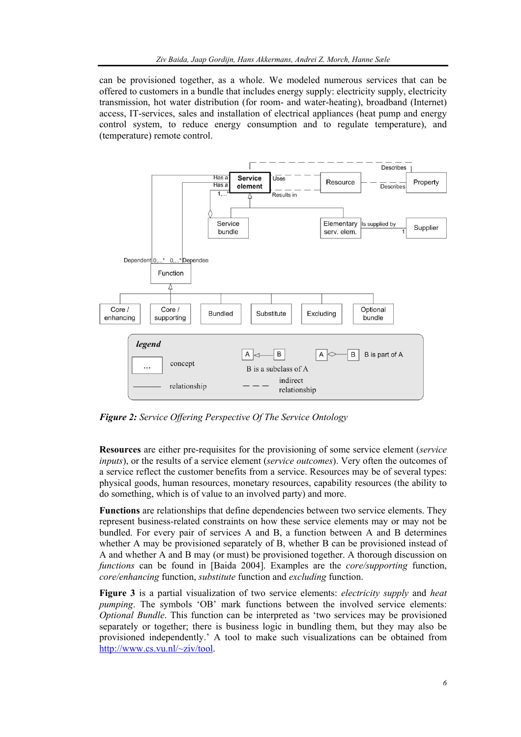can be provisioned together, as a whole. We modeled numerous services that can be offered to customers in a bundle that includes energy supply: electricity supply, electricity transmission, hot water distribution (for room- and water-heating), broadband (Internet) access, IT-services, sales and installation of electrical appliances (heat pump and energy control system, to reduce energy consumption and to regulate temperature), and (temperature) remote control.



*Figure 2: Service Offering Perspective Of The Service Ontology* 

**Resources** are either pre-requisites for the provisioning of some service element (*service inputs*), or the results of a service element (*service outcomes*). Very often the outcomes of a service reflect the customer benefits from a service. Resources may be of several types: physical goods, human resources, monetary resources, capability resources (the ability to do something, which is of value to an involved party) and more.

**Functions** are relationships that define dependencies between two service elements. They represent business-related constraints on how these service elements may or may not be bundled. For every pair of services A and B, a function between A and B determines whether A may be provisioned separately of B, whether B can be provisioned instead of A and whether A and B may (or must) be provisioned together. A thorough discussion on *functions* can be found in [Baida 2004]. Examples are the *core/supporting* function, *core/enhancing* function, *substitute* function and *excluding* function.

**Figure 3** is a partial visualization of two service elements: *electricity supply* and *heat pumping*. The symbols 'OB' mark functions between the involved service elements: *Optional Bundle*. This function can be interpreted as 'two services may be provisioned separately or together; there is business logic in bundling them, but they may also be provisioned independently.' A tool to make such visualizations can be obtained from http://www.cs.vu.nl/~ziv/tool.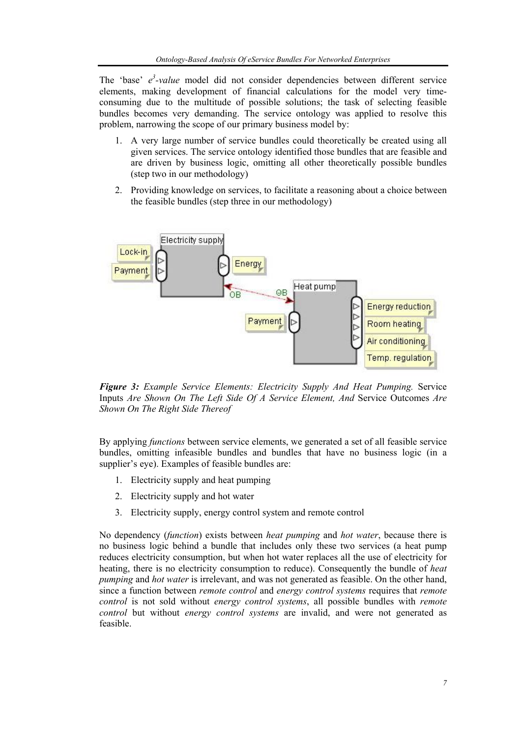The 'base'  $e^3$ -value model did not consider dependencies between different service elements, making development of financial calculations for the model very timeconsuming due to the multitude of possible solutions; the task of selecting feasible bundles becomes very demanding. The service ontology was applied to resolve this problem, narrowing the scope of our primary business model by:

- 1. A very large number of service bundles could theoretically be created using all given services. The service ontology identified those bundles that are feasible and are driven by business logic, omitting all other theoretically possible bundles (step two in our methodology)
- 2. Providing knowledge on services, to facilitate a reasoning about a choice between the feasible bundles (step three in our methodology)



*Figure 3: Example Service Elements: Electricity Supply And Heat Pumping.* Service Inputs *Are Shown On The Left Side Of A Service Element, And* Service Outcomes *Are Shown On The Right Side Thereof* 

By applying *functions* between service elements, we generated a set of all feasible service bundles, omitting infeasible bundles and bundles that have no business logic (in a supplier's eye). Examples of feasible bundles are:

- 1. Electricity supply and heat pumping
- 2. Electricity supply and hot water
- 3. Electricity supply, energy control system and remote control

No dependency (*function*) exists between *heat pumping* and *hot water*, because there is no business logic behind a bundle that includes only these two services (a heat pump reduces electricity consumption, but when hot water replaces all the use of electricity for heating, there is no electricity consumption to reduce). Consequently the bundle of *heat pumping* and *hot water* is irrelevant, and was not generated as feasible. On the other hand, since a function between *remote control* and *energy control systems* requires that *remote control* is not sold without *energy control systems*, all possible bundles with *remote control* but without *energy control systems* are invalid, and were not generated as feasible.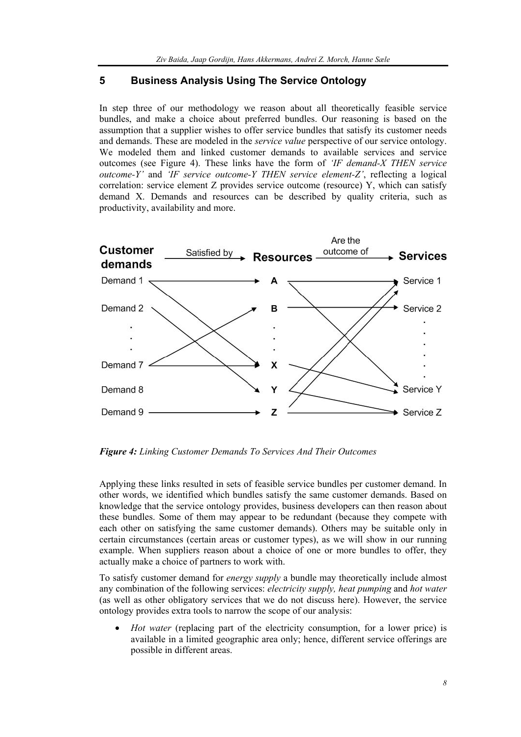## **5 Business Analysis Using The Service Ontology**

In step three of our methodology we reason about all theoretically feasible service bundles, and make a choice about preferred bundles. Our reasoning is based on the assumption that a supplier wishes to offer service bundles that satisfy its customer needs and demands. These are modeled in the *service value* perspective of our service ontology. We modeled them and linked customer demands to available services and service outcomes (see Figure 4). These links have the form of *'IF demand-X THEN service outcome-Y'* and *'IF service outcome-Y THEN service element-Z'*, reflecting a logical correlation: service element Z provides service outcome (resource) Y, which can satisfy demand X. Demands and resources can be described by quality criteria, such as productivity, availability and more.



*Figure 4: Linking Customer Demands To Services And Their Outcomes* 

Applying these links resulted in sets of feasible service bundles per customer demand. In other words, we identified which bundles satisfy the same customer demands. Based on knowledge that the service ontology provides, business developers can then reason about these bundles. Some of them may appear to be redundant (because they compete with each other on satisfying the same customer demands). Others may be suitable only in certain circumstances (certain areas or customer types), as we will show in our running example. When suppliers reason about a choice of one or more bundles to offer, they actually make a choice of partners to work with.

To satisfy customer demand for *energy supply* a bundle may theoretically include almost any combination of the following services: *electricity supply, heat pumping* and *hot water*  (as well as other obligatory services that we do not discuss here). However, the service ontology provides extra tools to narrow the scope of our analysis:

• *Hot water* (replacing part of the electricity consumption, for a lower price) is available in a limited geographic area only; hence, different service offerings are possible in different areas.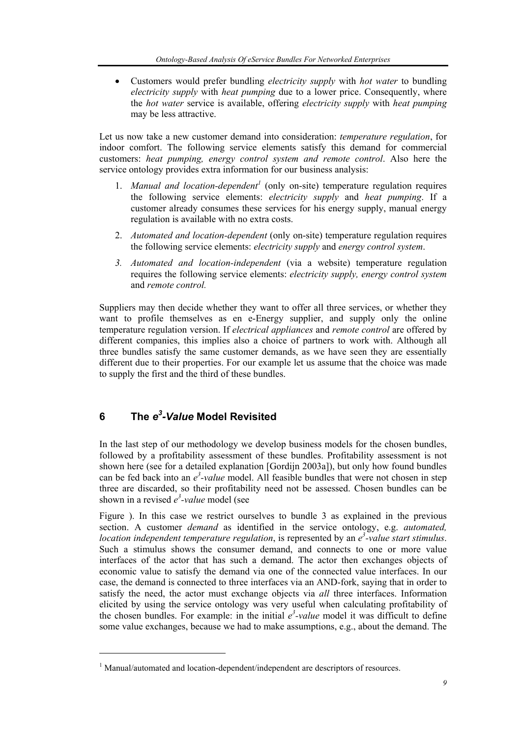• Customers would prefer bundling *electricity supply* with *hot water* to bundling *electricity supply* with *heat pumping* due to a lower price. Consequently, where the *hot water* service is available, offering *electricity supply* with *heat pumping* may be less attractive.

Let us now take a new customer demand into consideration: *temperature regulation*, for indoor comfort. The following service elements satisfy this demand for commercial customers: *heat pumping, energy control system and remote control*. Also here the service ontology provides extra information for our business analysis:

- 1. *Manual and location-dependent<sup>1</sup>* (only on-site) temperature regulation requires the following service elements: *electricity supply* and *heat pumping*. If a customer already consumes these services for his energy supply, manual energy regulation is available with no extra costs.
- 2. *Automated and location-dependent* (only on-site) temperature regulation requires the following service elements: *electricity supply* and *energy control system*.
- *3. Automated and location-independent* (via a website) temperature regulation requires the following service elements: *electricity supply, energy control system*  and *remote control.*

Suppliers may then decide whether they want to offer all three services, or whether they want to profile themselves as en e-Energy supplier, and supply only the online temperature regulation version. If *electrical appliances* and *remote control* are offered by different companies, this implies also a choice of partners to work with. Although all three bundles satisfy the same customer demands, as we have seen they are essentially different due to their properties. For our example let us assume that the choice was made to supply the first and the third of these bundles.

# **6 The** *e3 -Value* **Model Revisited**

l

In the last step of our methodology we develop business models for the chosen bundles, followed by a profitability assessment of these bundles. Profitability assessment is not shown here (see for a detailed explanation [Gordijn 2003a]), but only how found bundles can be fed back into an  $e^3$ -value model. All feasible bundles that were not chosen in step three are discarded, so their profitability need not be assessed. Chosen bundles can be shown in a revised  $e^3$ -value model (see

Figure ). In this case we restrict ourselves to bundle 3 as explained in the previous section. A customer *demand* as identified in the service ontology, e.g. *automated, location independent temperature regulation*, is represented by an *e 3 -value start stimulus*. Such a stimulus shows the consumer demand, and connects to one or more value interfaces of the actor that has such a demand. The actor then exchanges objects of economic value to satisfy the demand via one of the connected value interfaces. In our case, the demand is connected to three interfaces via an AND-fork, saying that in order to satisfy the need, the actor must exchange objects via *all* three interfaces. Information elicited by using the service ontology was very useful when calculating profitability of the chosen bundles. For example: in the initial  $e^3$ -value model it was difficult to define some value exchanges, because we had to make assumptions, e.g., about the demand. The

<sup>&</sup>lt;sup>1</sup> Manual/automated and location-dependent/independent are descriptors of resources.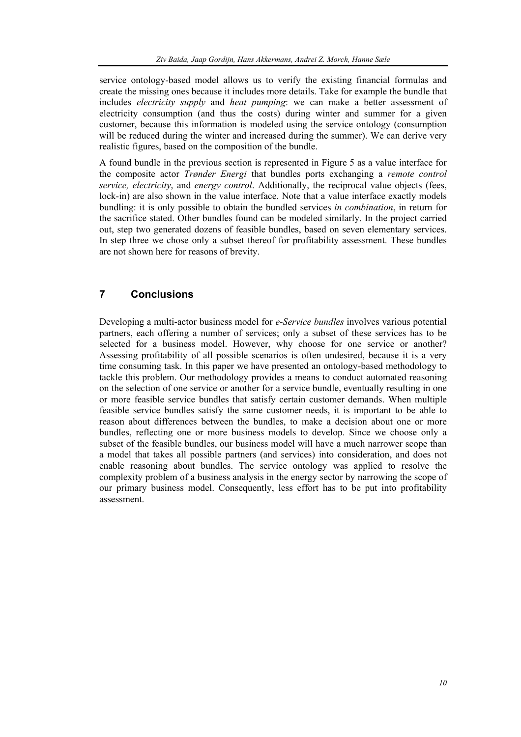service ontology-based model allows us to verify the existing financial formulas and create the missing ones because it includes more details. Take for example the bundle that includes *electricity supply* and *heat pumping*: we can make a better assessment of electricity consumption (and thus the costs) during winter and summer for a given customer, because this information is modeled using the service ontology (consumption will be reduced during the winter and increased during the summer). We can derive very realistic figures, based on the composition of the bundle.

A found bundle in the previous section is represented in Figure 5 as a value interface for the composite actor *Trønder Energi* that bundles ports exchanging a *remote control service, electricity*, and *energy control*. Additionally, the reciprocal value objects (fees, lock-in) are also shown in the value interface. Note that a value interface exactly models bundling: it is only possible to obtain the bundled services *in combination*, in return for the sacrifice stated. Other bundles found can be modeled similarly. In the project carried out, step two generated dozens of feasible bundles, based on seven elementary services. In step three we chose only a subset thereof for profitability assessment. These bundles are not shown here for reasons of brevity.

## **7 Conclusions**

Developing a multi-actor business model for *e-Service bundles* involves various potential partners, each offering a number of services; only a subset of these services has to be selected for a business model. However, why choose for one service or another? Assessing profitability of all possible scenarios is often undesired, because it is a very time consuming task. In this paper we have presented an ontology-based methodology to tackle this problem. Our methodology provides a means to conduct automated reasoning on the selection of one service or another for a service bundle, eventually resulting in one or more feasible service bundles that satisfy certain customer demands. When multiple feasible service bundles satisfy the same customer needs, it is important to be able to reason about differences between the bundles, to make a decision about one or more bundles, reflecting one or more business models to develop. Since we choose only a subset of the feasible bundles, our business model will have a much narrower scope than a model that takes all possible partners (and services) into consideration, and does not enable reasoning about bundles. The service ontology was applied to resolve the complexity problem of a business analysis in the energy sector by narrowing the scope of our primary business model. Consequently, less effort has to be put into profitability assessment.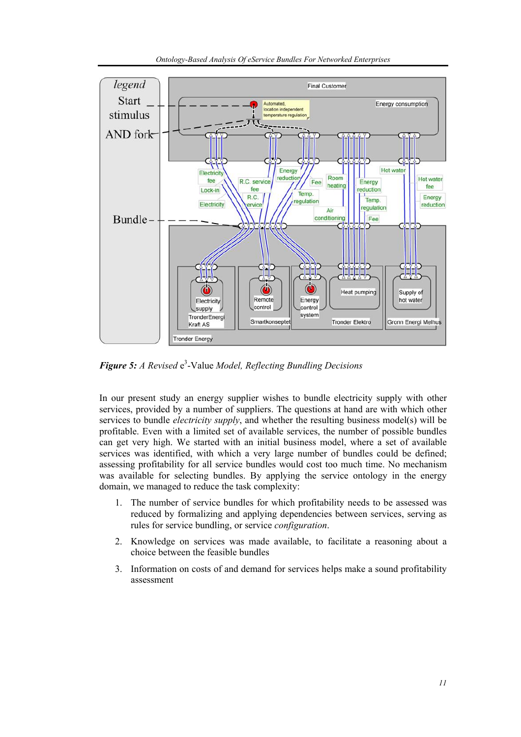



Figure 5: A Revised e<sup>3</sup>-Value Model, Reflecting Bundling Decisions

In our present study an energy supplier wishes to bundle electricity supply with other services, provided by a number of suppliers. The questions at hand are with which other services to bundle *electricity supply*, and whether the resulting business model(s) will be profitable. Even with a limited set of available services, the number of possible bundles can get very high. We started with an initial business model, where a set of available services was identified, with which a very large number of bundles could be defined; assessing profitability for all service bundles would cost too much time. No mechanism was available for selecting bundles. By applying the service ontology in the energy domain, we managed to reduce the task complexity:

- 1. The number of service bundles for which profitability needs to be assessed was reduced by formalizing and applying dependencies between services, serving as rules for service bundling, or service *configuration*.
- 2. Knowledge on services was made available, to facilitate a reasoning about a choice between the feasible bundles
- 3. Information on costs of and demand for services helps make a sound profitability assessment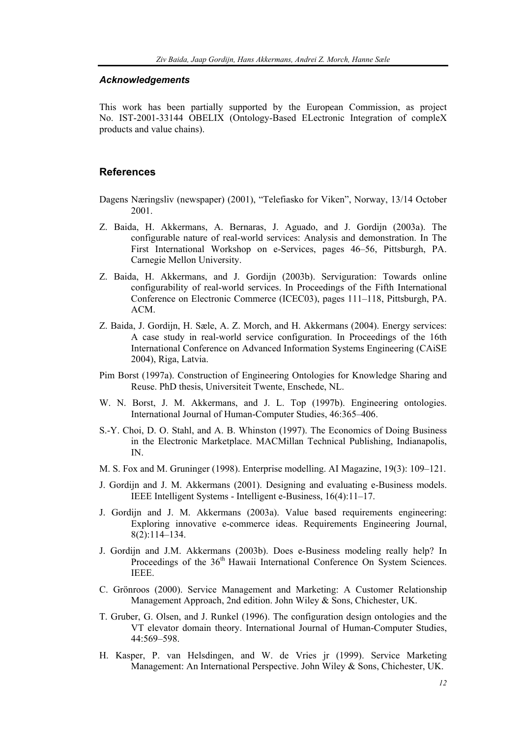#### *Acknowledgements*

This work has been partially supported by the European Commission, as project No. IST-2001-33144 OBELIX (Ontology-Based ELectronic Integration of compleX products and value chains).

### **References**

- Dagens Næringsliv (newspaper) (2001), "Telefiasko for Viken", Norway, 13/14 October 2001.
- Z. Baida, H. Akkermans, A. Bernaras, J. Aguado, and J. Gordijn (2003a). The configurable nature of real-world services: Analysis and demonstration. In The First International Workshop on e-Services, pages 46–56, Pittsburgh, PA. Carnegie Mellon University.
- Z. Baida, H. Akkermans, and J. Gordijn (2003b). Serviguration: Towards online configurability of real-world services. In Proceedings of the Fifth International Conference on Electronic Commerce (ICEC03), pages 111–118, Pittsburgh, PA. ACM.
- Z. Baida, J. Gordijn, H. Sæle, A. Z. Morch, and H. Akkermans (2004). Energy services: A case study in real-world service configuration. In Proceedings of the 16th International Conference on Advanced Information Systems Engineering (CAiSE 2004), Riga, Latvia.
- Pim Borst (1997a). Construction of Engineering Ontologies for Knowledge Sharing and Reuse. PhD thesis, Universiteit Twente, Enschede, NL.
- W. N. Borst, J. M. Akkermans, and J. L. Top (1997b). Engineering ontologies. International Journal of Human-Computer Studies, 46:365–406.
- S.-Y. Choi, D. O. Stahl, and A. B. Whinston (1997). The Economics of Doing Business in the Electronic Marketplace. MACMillan Technical Publishing, Indianapolis, IN.
- M. S. Fox and M. Gruninger (1998). Enterprise modelling. AI Magazine, 19(3): 109–121.
- J. Gordijn and J. M. Akkermans (2001). Designing and evaluating e-Business models. IEEE Intelligent Systems - Intelligent e-Business, 16(4):11–17.
- J. Gordijn and J. M. Akkermans (2003a). Value based requirements engineering: Exploring innovative e-commerce ideas. Requirements Engineering Journal, 8(2):114–134.
- J. Gordijn and J.M. Akkermans (2003b). Does e-Business modeling really help? In Proceedings of the 36<sup>th</sup> Hawaii International Conference On System Sciences. IEEE.
- C. Grönroos (2000). Service Management and Marketing: A Customer Relationship Management Approach, 2nd edition. John Wiley & Sons, Chichester, UK.
- T. Gruber, G. Olsen, and J. Runkel (1996). The configuration design ontologies and the VT elevator domain theory. International Journal of Human-Computer Studies, 44:569–598.
- H. Kasper, P. van Helsdingen, and W. de Vries jr (1999). Service Marketing Management: An International Perspective. John Wiley & Sons, Chichester, UK.